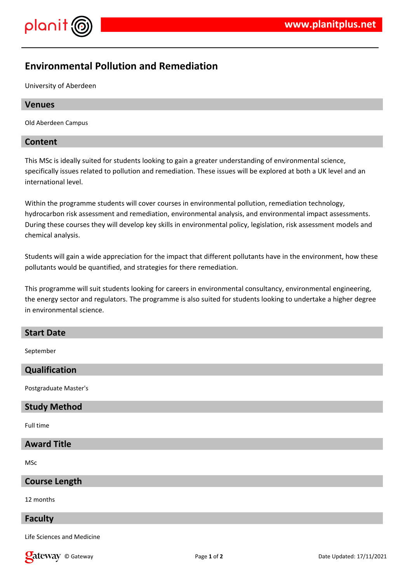

# **Environmental Pollution and Remediation**

University of Aberdeen

# **Venues**

Old Aberdeen Campus

# **Content**

This MSc is ideally suited for students looking to gain a greater understanding of environmental science, specifically issues related to pollution and remediation. These issues will be explored at both a UK level and an international level.

Within the programme students will cover courses in environmental pollution, remediation technology, hydrocarbon risk assessment and remediation, environmental analysis, and environmental impact assessments. During these courses they will develop key skills in environmental policy, legislation, risk assessment models and chemical analysis.

Students will gain a wide appreciation for the impact that different pollutants have in the environment, how these pollutants would be quantified, and strategies for there remediation.

This programme will suit students looking for careers in environmental consultancy, environmental engineering, the energy sector and regulators. The programme is also suited for students looking to undertake a higher degree in environmental science.

#### **Start Date**

September

# **Qualification**

Postgraduate Master's

#### **Study Method**

Full time

# **Award Title**

MSc

#### **Course Length**

12 months

#### **Faculty**

Life Sciences and Medicine

**Callet Way** © Gateway **Page 1** of 2 Date Updated: 17/11/2021